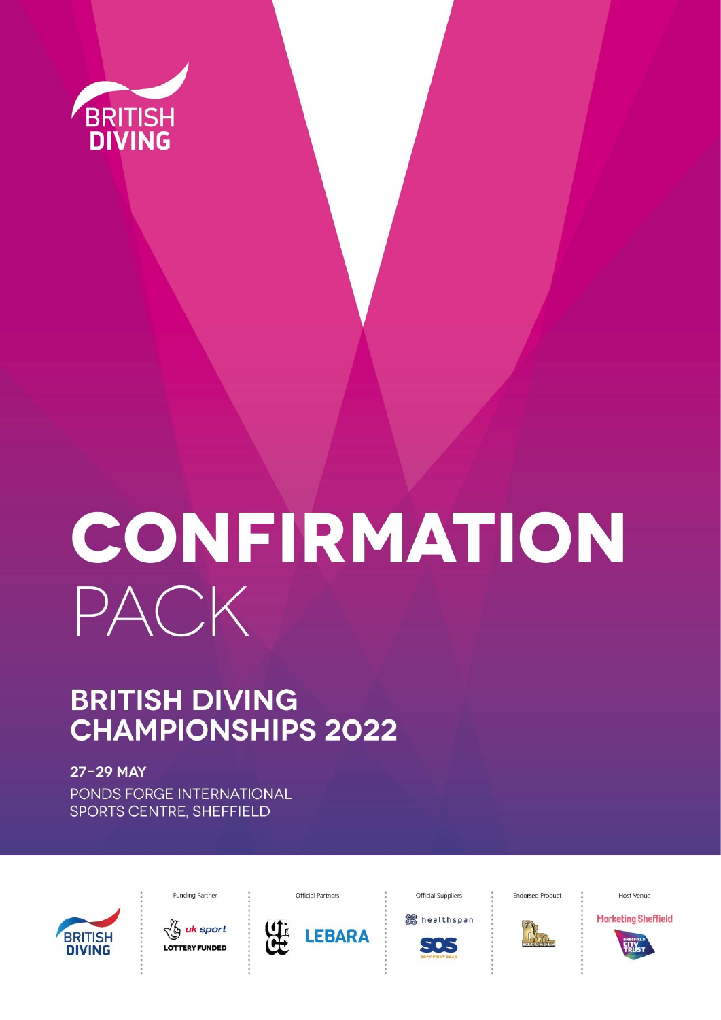

# CONFIRMATION PACK

# **BRITISH DIVING CHAMPIONSHIPS 2022**

27-29 MAY PONDS FORGE INTERNATIONAL SPORTS CENTRE, SHEFFIELD



**Funding Partner** 

√മൃ<mark>uk</mark> sport **LOTTERY FUNDED** 



**Official Partners** 

**Official Suppliers** 

healthspan

このこ

**Endorsed Product** 



Host Venue

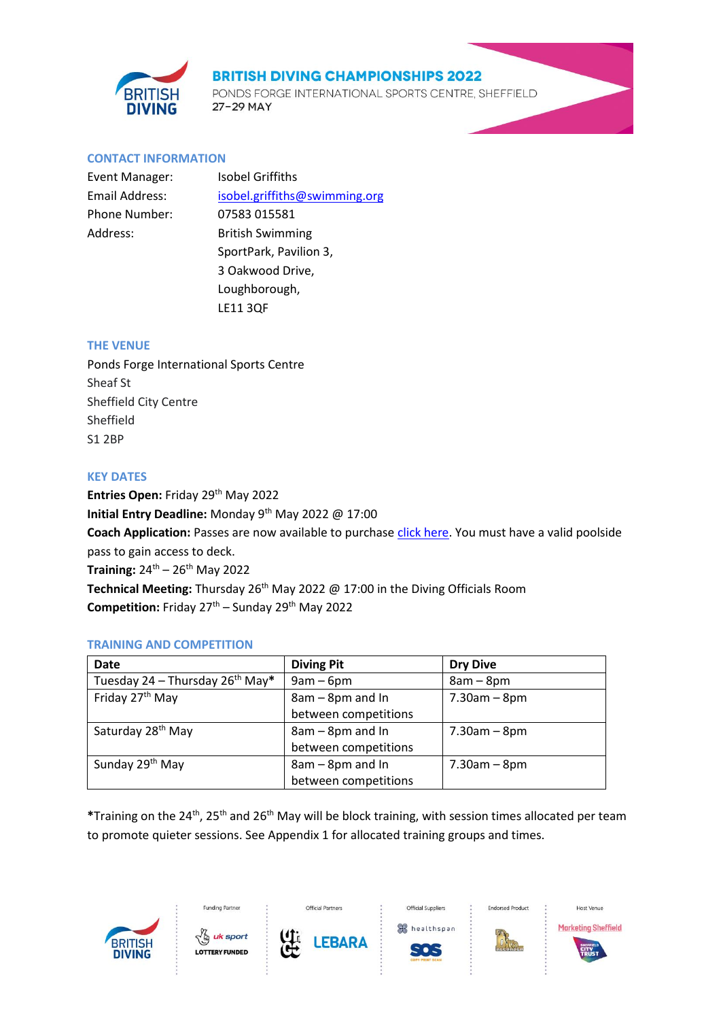

PONDS FORGE INTERNATIONAL SPORTS CENTRE, SHEFFIELD 27-29 MAY

#### **CONTACT INFORMATION**

| Event Manager: | <b>Isobel Griffiths</b>       |
|----------------|-------------------------------|
| Email Address: | isobel.griffiths@swimming.org |
| Phone Number:  | 07583 015581                  |
| Address:       | <b>British Swimming</b>       |
|                | SportPark, Pavilion 3,        |
|                | 3 Oakwood Drive,              |
|                | Loughborough,                 |
|                | <b>LE11 3QF</b>               |

#### **THE VENUE**

Ponds Forge International Sports Centre Sheaf St Sheffield City Centre Sheffield S1 2BP

#### **KEY DATES**

Entries Open: Friday 29<sup>th</sup> May 2022 **Initial Entry Deadline:** Monday 9th May 2022 @ 17:00 Coach Application: Passes are now available to purchase [click here.](https://www.britishswimming.org/members-resources/coaches-passes/) You must have a valid poolside pass to gain access to deck. **Training:** 24<sup>th</sup> - 26<sup>th</sup> May 2022 **Technical Meeting:** Thursday 26<sup>th</sup> May 2022 @ 17:00 in the Diving Officials Room Competition: Friday 27<sup>th</sup> – Sunday 29<sup>th</sup> May 2022

#### **TRAINING AND COMPETITION**

| <b>Date</b>                                 | <b>Diving Pit</b>    | <b>Dry Dive</b> |
|---------------------------------------------|----------------------|-----------------|
| Tuesday 24 – Thursday 26 <sup>th</sup> May* | $9am - 6pm$          | $8am - 8pm$     |
| Friday 27 <sup>th</sup> May                 | 8am - 8pm and In     | $7.30$ am – 8pm |
|                                             | between competitions |                 |
| Saturday 28 <sup>th</sup> May               | 8am - 8pm and In     | $7.30$ am – 8pm |
|                                             | between competitions |                 |
| Sunday 29th May                             | 8am - 8pm and In     | $7.30$ am – 8pm |
|                                             | between competitions |                 |

**\***Training on the 24th, 25th and 26th May will be block training, with session times allocated per team to promote quieter sessions. See Appendix 1 for allocated training groups and times.

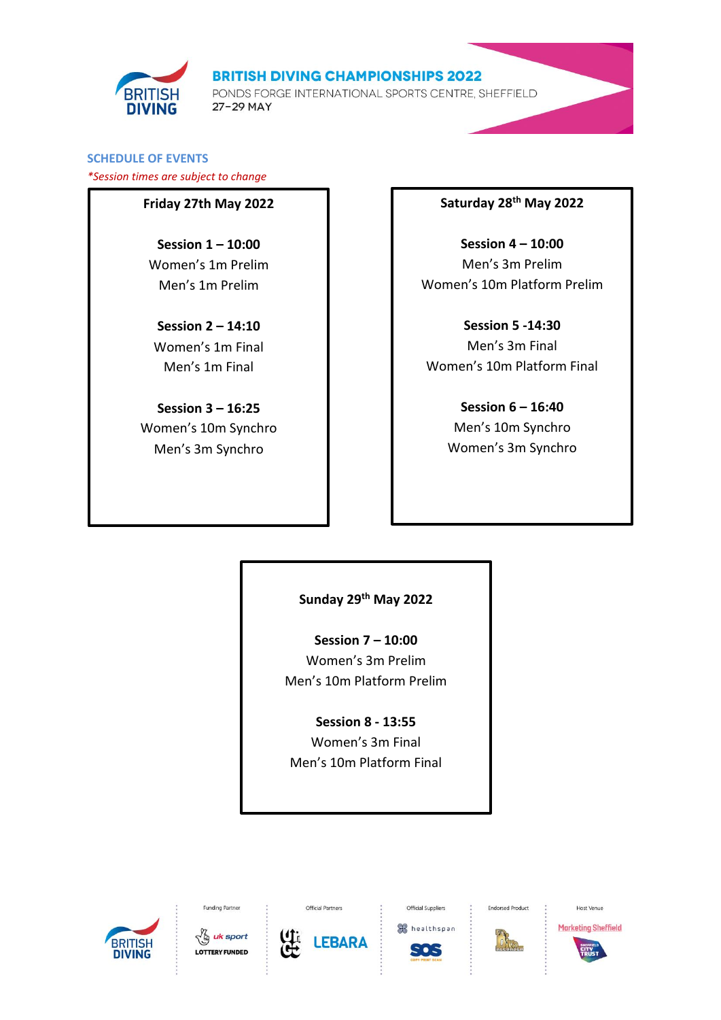

PONDS FORGE INTERNATIONAL SPORTS CENTRE, SHEFFIELD 27-29 MAY

# **SCHEDULE OF EVENTS**

*\*Session times are subject to change*

# **Friday 27th May 2022**

**Session 1 – 10:00** Women's 1m Prelim Men's 1m Prelim

**Session 2 – 14:10** Women's 1m Final Men's 1m Final

**Session 3 – 16:25** Women's 10m Synchro Men's 3m Synchro

# **Saturday 28th May 2022**

**Session 4 – 10:00** Men's 3m Prelim Women's 10m Platform Prelim

**Session 5 -14:30** Men's 3m Final Women's 10m Platform Final

> **Session 6 – 16:40** Men's 10m Synchro Women's 3m Synchro

# **Sunday 29th May 2022**

**Session 7 – 10:00** Women's 3m Prelim Men's 10m Platform Prelim

**Session 8 - 13:55** Women's 3m Final Men's 10m Platform Final





Funding Partner



Official Partners



Official Suppliers



**Endorsed Product** 



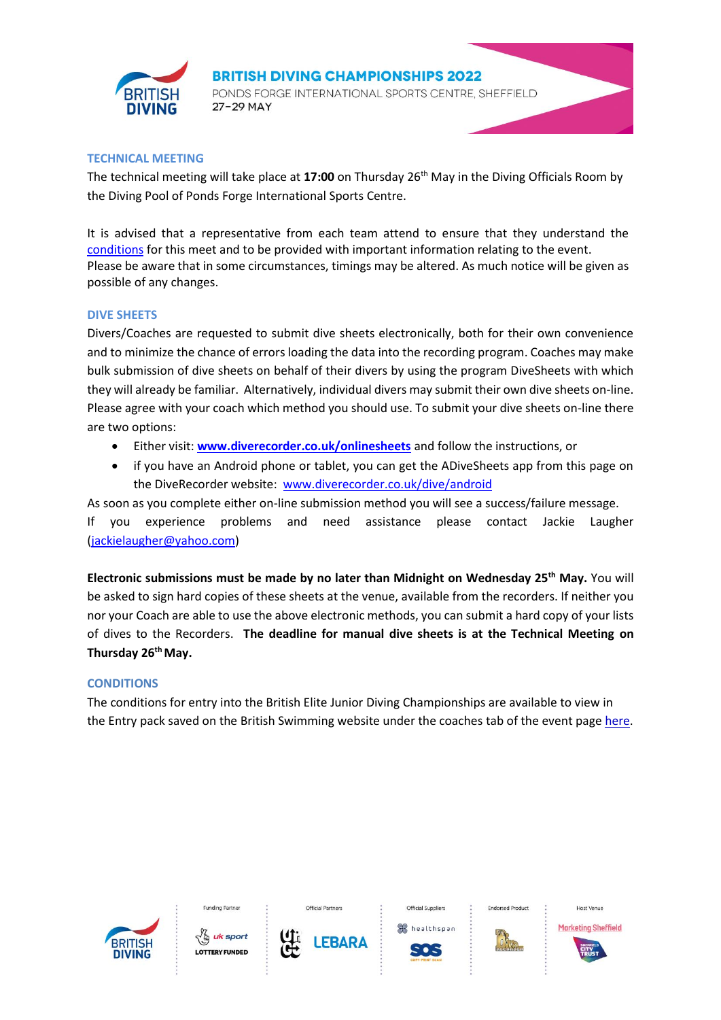

**BRITISH DIVING CHAMPIONSHIPS 2022** PONDS FORGE INTERNATIONAL SPORTS CENTRE, SHEFFIELD 27-29 MAY

#### **TECHNICAL MEETING**

The technical meeting will take place at **17:00** on Thursday 26th May in the Diving Officials Room by the Diving Pool of Ponds Forge International Sports Centre.

It is advised that a representative from each team attend to ensure that they understand the [conditions](https://www.britishswimming.org/events-and-tickets/british-diving-championships-2022/) for this meet and to be provided with important information relating to the event. Please be aware that in some circumstances, timings may be altered. As much notice will be given as possible of any changes.

#### **DIVE SHEETS**

Divers/Coaches are requested to submit dive sheets electronically, both for their own convenience and to minimize the chance of errors loading the data into the recording program. Coaches may make bulk submission of dive sheets on behalf of their divers by using the program DiveSheets with which they will already be familiar. Alternatively, individual divers may submit their own dive sheets on-line. Please agree with your coach which method you should use. To submit your dive sheets on-line there are two options:

- Either visit: **[www.diverecorder.co.uk/onlinesheets](http://www.diverecorder.co.uk/onlinesheets)** and follow the instructions, or
- if you have an Android phone or tablet, you can get the ADiveSheets app from this page on the DiveRecorder website: [www.diverecorder.co.uk/dive/android](http://www.diverecorder.co.uk/dive/android.php)

As soon as you complete either on-line submission method you will see a success/failure message. If you experience problems and need assistance please contact Jackie Laugher [\(jackielaugher@yahoo.com\)](mailto:jackielaugher@yahoo.com)

**Electronic submissions must be made by no later than Midnight on Wednesday 25 th May.** You will be asked to sign hard copies of these sheets at the venue, available from the recorders. If neither you nor your Coach are able to use the above electronic methods, you can submit a hard copy of your lists of dives to the Recorders. **The deadline for manual dive sheets is at the Technical Meeting on Thursday 26 th May.**

#### **CONDITIONS**

The conditions for entry into the British Elite Junior Diving Championships are available to view in the Entry pack saved on the British Swimming website under the coaches tab of the event pag[e here.](https://www.britishswimming.org/events-and-tickets/british-diving-championships-2022/)





**Funding Partne** 



**EBARA** 

healthspan





Host Venu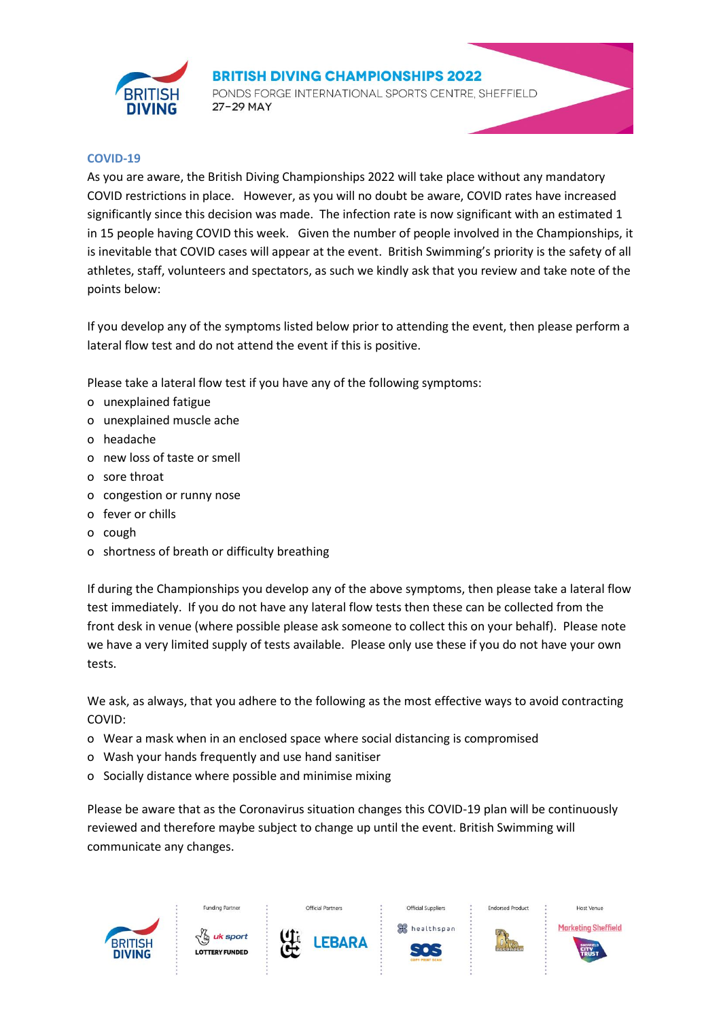

PONDS FORGE INTERNATIONAL SPORTS CENTRE, SHEFFIELD 27-29 MAY

#### **COVID-19**

As you are aware, the British Diving Championships 2022 will take place without any mandatory COVID restrictions in place. However, as you will no doubt be aware, COVID rates have increased significantly since this decision was made. The infection rate is now significant with an estimated 1 in 15 people having COVID this week. Given the number of people involved in the Championships, it is inevitable that COVID cases will appear at the event. British Swimming's priority is the safety of all athletes, staff, volunteers and spectators, as such we kindly ask that you review and take note of the points below:

If you develop any of the symptoms listed below prior to attending the event, then please perform a lateral flow test and do not attend the event if this is positive.

Please take a lateral flow test if you have any of the following symptoms:

- o unexplained fatigue
- o unexplained muscle ache
- o headache
- o new loss of taste or smell
- o sore throat
- o congestion or runny nose
- o fever or chills
- o cough
- o shortness of breath or difficulty breathing

If during the Championships you develop any of the above symptoms, then please take a lateral flow test immediately. If you do not have any lateral flow tests then these can be collected from the front desk in venue (where possible please ask someone to collect this on your behalf). Please note we have a very limited supply of tests available. Please only use these if you do not have your own tests.

We ask, as always, that you adhere to the following as the most effective ways to avoid contracting COVID:

- o Wear a mask when in an enclosed space where social distancing is compromised
- o Wash your hands frequently and use hand sanitiser
- o Socially distance where possible and minimise mixing

Please be aware that as the Coronavirus situation changes this COVID-19 plan will be continuously reviewed and therefore maybe subject to change up until the event. British Swimming will communicate any changes.

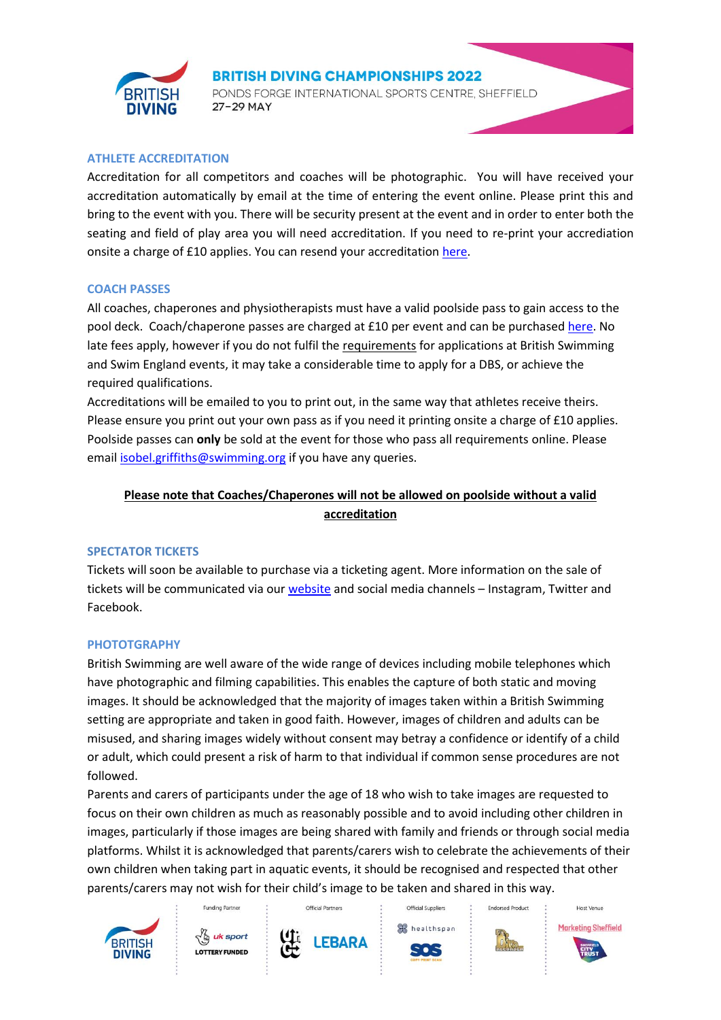

PONDS FORGE INTERNATIONAL SPORTS CENTRE, SHEFFIELD 27-29 MAY

#### **ATHLETE ACCREDITATION**

Accreditation for all competitors and coaches will be photographic. You will have received your accreditation automatically by email at the time of entering the event online. Please print this and bring to the event with you. There will be security present at the event and in order to enter both the seating and field of play area you will need accreditation. If you need to re-print your accrediation onsite a charge of £10 applies. You can resend your accreditation [here.](https://www.swimmingresults.org/events/bsdivingchamps22/divingentryviewerwithaccred.php)

#### **COACH PASSES**

All coaches, chaperones and physiotherapists must have a valid poolside pass to gain access to the pool deck. Coach/chaperone passes are charged at £10 per event and can be purchased [here.](https://www.britishswimming.org/members-resources/coaches-passes/) No late fees apply, however if you do not fulfil the [requirements](https://www.britishswimming.org/members-resources/coaches-passes/) for applications at British Swimming and Swim England events, it may take a considerable time to apply for a DBS, or achieve the required qualifications.

Accreditations will be emailed to you to print out, in the same way that athletes receive theirs. Please ensure you print out your own pass as if you need it printing onsite a charge of £10 applies. Poolside passes can **only** be sold at the event for those who pass all requirements online. Please email [isobel.griffiths@swimming.org](mailto:isobel.griffiths@swimming.org) if you have any queries.

# **Please note that Coaches/Chaperones will not be allowed on poolside without a valid accreditation**

#### **SPECTATOR TICKETS**

Tickets will soon be available to purchase via a ticketing agent. More information on the sale of tickets will be communicated via our [website](https://www.britishswimming.org/) and social media channels – Instagram, Twitter and Facebook.

#### **PHOTOTGRAPHY**

British Swimming are well aware of the wide range of devices including mobile telephones which have photographic and filming capabilities. This enables the capture of both static and moving images. It should be acknowledged that the majority of images taken within a British Swimming setting are appropriate and taken in good faith. However, images of children and adults can be misused, and sharing images widely without consent may betray a confidence or identify of a child or adult, which could present a risk of harm to that individual if common sense procedures are not followed.

Parents and carers of participants under the age of 18 who wish to take images are requested to focus on their own children as much as reasonably possible and to avoid including other children in images, particularly if those images are being shared with family and friends or through social media platforms. Whilst it is acknowledged that parents/carers wish to celebrate the achievements of their own children when taking part in aquatic events, it should be recognised and respected that other parents/carers may not wish for their child's image to be taken and shared in this way.







Official Partners





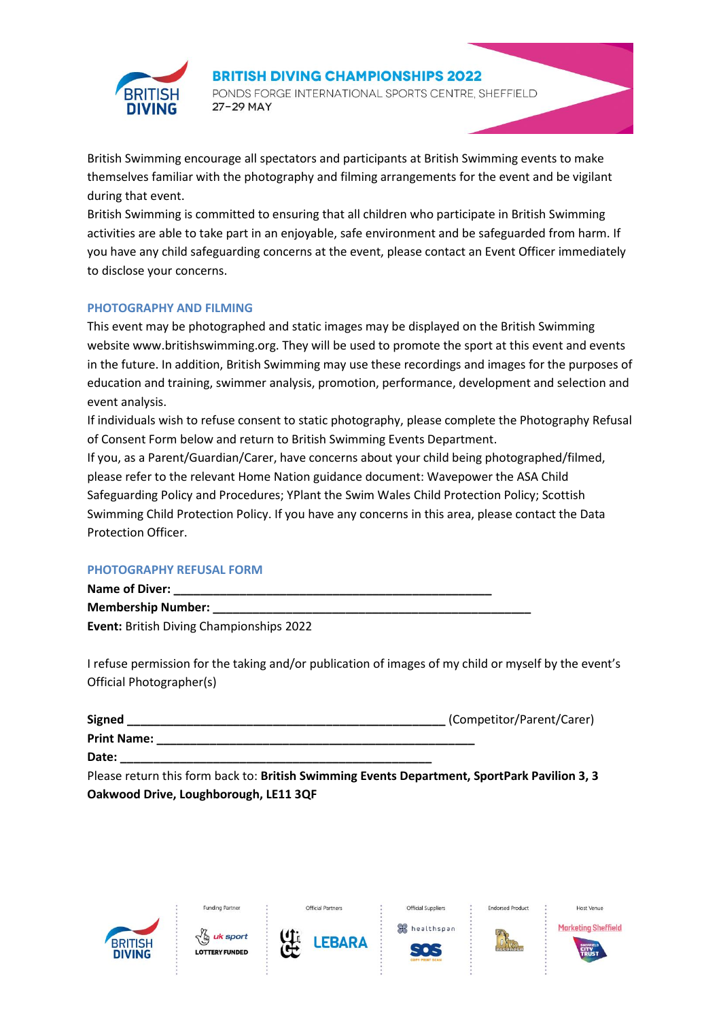

PONDS FORGE INTERNATIONAL SPORTS CENTRE, SHEFFIELD 27-29 MAY

British Swimming encourage all spectators and participants at British Swimming events to make themselves familiar with the photography and filming arrangements for the event and be vigilant during that event.

British Swimming is committed to ensuring that all children who participate in British Swimming activities are able to take part in an enjoyable, safe environment and be safeguarded from harm. If you have any child safeguarding concerns at the event, please contact an Event Officer immediately to disclose your concerns.

#### **PHOTOGRAPHY AND FILMING**

This event may be photographed and static images may be displayed on the British Swimming website www.britishswimming.org. They will be used to promote the sport at this event and events in the future. In addition, British Swimming may use these recordings and images for the purposes of education and training, swimmer analysis, promotion, performance, development and selection and event analysis.

If individuals wish to refuse consent to static photography, please complete the Photography Refusal of Consent Form below and return to British Swimming Events Department.

If you, as a Parent/Guardian/Carer, have concerns about your child being photographed/filmed, please refer to the relevant Home Nation guidance document: Wavepower the ASA Child Safeguarding Policy and Procedures; YPlant the Swim Wales Child Protection Policy; Scottish Swimming Child Protection Policy. If you have any concerns in this area, please contact the Data Protection Officer.

#### **PHOTOGRAPHY REFUSAL FORM**

| Name of Diver:                                  |  |
|-------------------------------------------------|--|
| <b>Membership Number:</b>                       |  |
| <b>Event: British Diving Championships 2022</b> |  |

I refuse permission for the taking and/or publication of images of my child or myself by the event's Official Photographer(s)

| <b>Signed</b>      | (Competitor/Parent/Carer) |
|--------------------|---------------------------|
| <b>Print Name:</b> |                           |
| Date:              |                           |

Please return this form back to: **British Swimming Events Department, SportPark Pavilion 3, 3 Oakwood Drive, Loughborough, LE11 3QF**

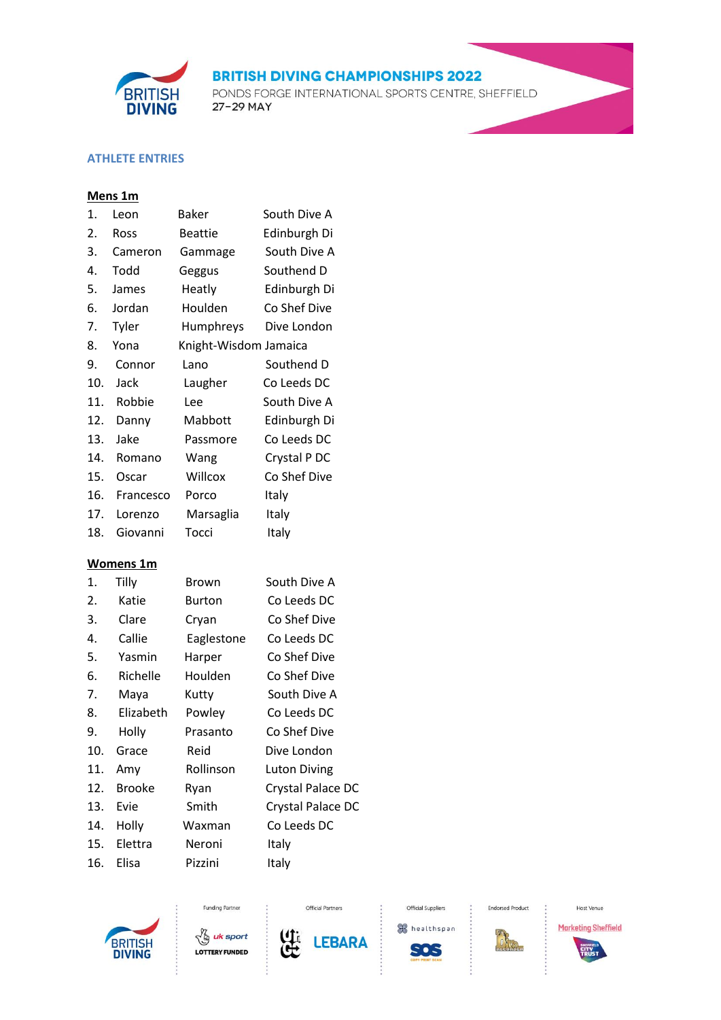

PONDS FORGE INTERNATIONAL SPORTS CENTRE, SHEFFIELD 27-29 MAY

# **ATHLETE ENTRIES**

# **Mens 1m**

| 1.  | Leon      | Baker                 | South Dive A |
|-----|-----------|-----------------------|--------------|
| 2.  | Ross      | <b>Beattie</b>        | Edinburgh Di |
| 3.  | Cameron   | Gammage               | South Dive A |
| 4.  | Todd      | Geggus                | Southend D   |
| 5.  | James     | Heatly                | Edinburgh Di |
| 6.  | Jordan    | Houlden               | Co Shef Dive |
| 7.  | Tyler     | Humphreys             | Dive London  |
| 8.  | Yona      | Knight-Wisdom Jamaica |              |
| 9.  | Connor    | Lano                  | Southend D   |
| 10. | Jack      | Laugher               | Co Leeds DC  |
| 11. | Robbie    | Lee                   | South Dive A |
| 12. | Danny     | Mabbott               | Edinburgh Di |
| 13. | Jake      | Passmore              | Co Leeds DC  |
| 14. | Romano    | Wang                  | Crystal P DC |
| 15. | Oscar     | Willcox               | Co Shef Dive |
| 16. | Francesco | Porco                 | Italy        |
| 17. | Lorenzo   | Marsaglia             | Italy        |
| 18. | Giovanni  | Tocci                 | Italy        |
|     |           |                       |              |

# **Womens 1m**

| 1.  | Tilly         | Brown      | South Dive A        |
|-----|---------------|------------|---------------------|
| 2.  | Katie         | Burton     | Co Leeds DC         |
| 3.  | Clare         | Cryan      | Co Shef Dive        |
| 4.  | Callie        | Eaglestone | Co Leeds DC         |
| 5.  | Yasmin        | Harper     | Co Shef Dive        |
| 6.  | Richelle      | Houlden    | Co Shef Dive        |
| 7.  | Maya          | Kutty      | South Dive A        |
| 8.  | Elizabeth     | Powley     | Co Leeds DC         |
| 9.  | Holly         | Prasanto   | Co Shef Dive        |
| 10. | Grace         | Reid       | Dive London         |
| 11. | Amy           | Rollinson  | <b>Luton Diving</b> |
| 12. | <b>Brooke</b> | Ryan       | Crystal Palace DC   |
| 13. | Evie          | Smith      | Crystal Palace DC   |
| 14. | Holly         | Waxman     | Co Leeds DC         |
| 15. | Elettra       | Neroni     | Italy               |
| 16. | Elisa         | Pizzini    | Italy               |





Funding Partner



Official Partners

healthspan **SOS** 

Official Suppliers

**Endorsed Product** 

 $\cdot$ 



Host Venue **Marketing Sheffield** 

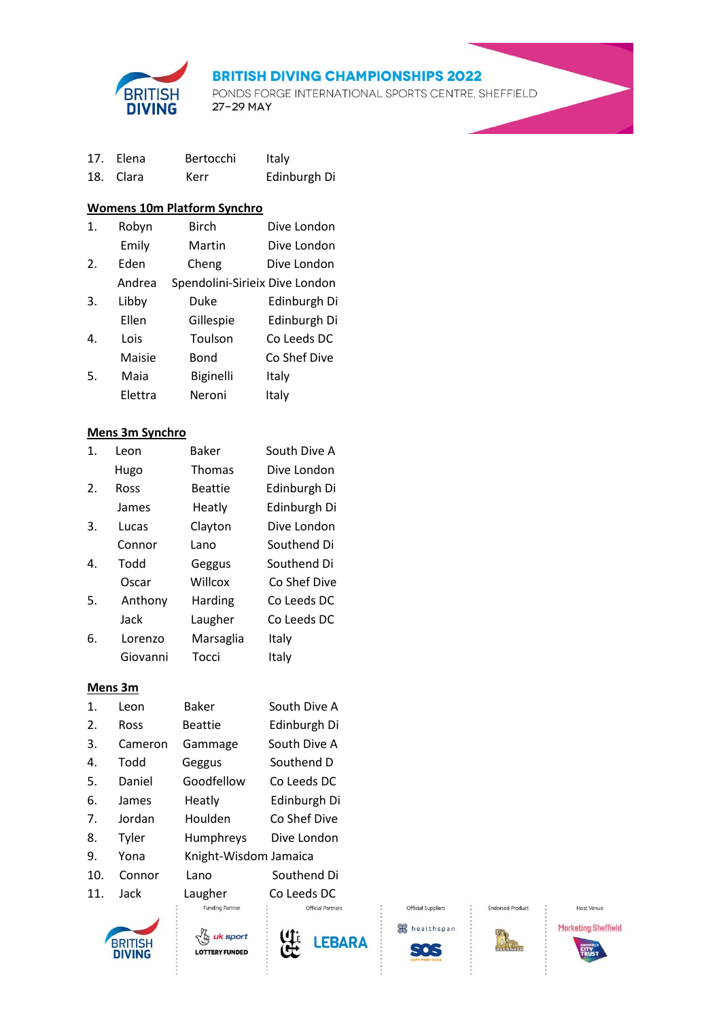

PONDS FORGE INTERNATIONAL SPORTS CENTRE, SHEFFIELD 27-29 MAY

| 17. Elena | Bertocchi | Italy        |
|-----------|-----------|--------------|
| 18. Clara | Kerr      | Edinburgh Di |

# **Womens 10m Platform Synchro**

| 1. | Robyn   | <b>Birch</b>                   | Dive London  |
|----|---------|--------------------------------|--------------|
|    | Emily   | Martin                         | Dive London  |
| 2. | Eden    | Cheng                          | Dive London  |
|    | Andrea  | Spendolini-Sirieix Dive London |              |
| 3. | Libby   | Duke                           | Edinburgh Di |
|    | Ellen   | Gillespie                      | Edinburgh Di |
| 4. | Lois    | Toulson                        | Co Leeds DC  |
|    | Maisie  | Bond                           | Co Shef Dive |
| 5. | Maia    | <b>Biginelli</b>               | Italy        |
|    | Elettra | Neroni                         | Italy        |

#### **Mens 3m Synchro**

| 1. | Leon        | <b>Baker</b>   | South Dive A |
|----|-------------|----------------|--------------|
|    | Hugo        | <b>Thomas</b>  | Dive London  |
| 2. | <b>Ross</b> | <b>Beattie</b> | Edinburgh Di |
|    | James       | Heatly         | Edinburgh Di |
| 3. | Lucas       | Clayton        | Dive London  |
|    | Connor      | Lano           | Southend Di  |
| 4. | Todd        | Geggus         | Southend Di  |
|    | Oscar       | Willcox        | Co Shef Dive |
| 5. | Anthony     | Harding        | Co Leeds DC  |
|    | Jack        | Laugher        | Co Leeds DC  |
| 6. | Lorenzo     | Marsaglia      | Italy        |
|    | Giovanni    | Tocci          | Italy        |

#### **Mens 3m**

| 1.  | Leon    | <b>Baker</b>           | South Dive A            |
|-----|---------|------------------------|-------------------------|
| 2.  | Ross    | <b>Beattie</b>         | Edinburgh Di            |
| 3.  | Cameron | Gammage                | South Dive A            |
| 4.  | hboT    | Geggus                 | Southend D              |
| 5.  | Daniel  | Goodfellow             | Co Leeds DC             |
| 6.  | James   | Heatly                 | Edinburgh Di            |
| 7.  | Jordan  | Houlden                | Co Shef Dive            |
| 8.  | Tyler   | Humphreys              | Dive London             |
| 9.  | Yona    | Knight-Wisdom Jamaica  |                         |
| 10. | Connor  | Lano                   | Southend Di             |
| 11. | Jack    | Laugher                | Co Leeds DC             |
|     |         | <b>Funding Partner</b> | <b>Official Partner</b> |
|     |         |                        |                         |









Official Suppliers

**Endorsed Product**  $\cdot$ 

不



Host Venue



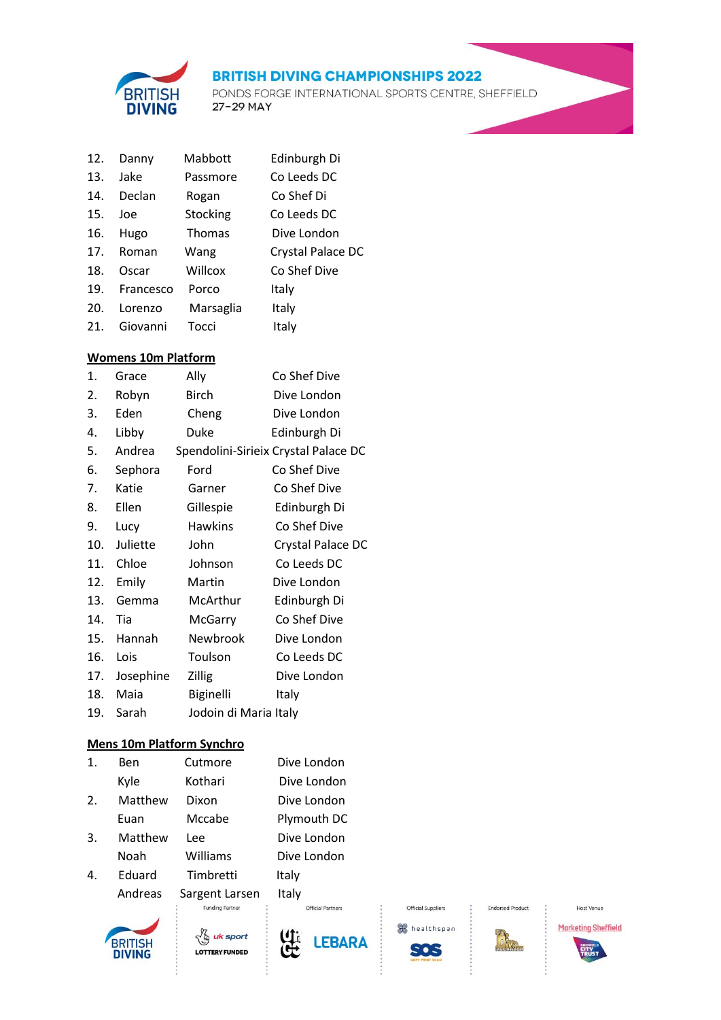

PONDS FORGE INTERNATIONAL SPORTS CENTRE, SHEFFIELD 27-29 MAY

| 12. | Danny     | Mabbott       | Edinburgh Di      |
|-----|-----------|---------------|-------------------|
| 13. | Jake      | Passmore      | Co Leeds DC       |
| 14. | Declan    | Rogan         | Co Shef Di        |
| 15. | Joe       | Stocking      | Co Leeds DC       |
| 16. | Hugo      | <b>Thomas</b> | Dive London       |
| 17. | Roman     | Wang          | Crystal Palace DC |
| 18. | Oscar     | Willcox       | Co Shef Dive      |
| 19. | Francesco | Porco         | Italy             |
| 20. | Lorenzo   | Marsaglia     | Italy             |
| 21. | Giovanni  | Tocci         | Italy             |

#### **Womens 10m Platform**

| 1.  | Grace     | Ally                  | Co Shef Dive                         |
|-----|-----------|-----------------------|--------------------------------------|
| 2.  | Robyn     | Birch                 | Dive London                          |
| 3.  | Eden      | Cheng                 | Dive London                          |
| 4.  | Libby     | Duke                  | Edinburgh Di                         |
| 5.  | Andrea    |                       | Spendolini-Sirieix Crystal Palace DC |
| 6.  | Sephora   | Ford                  | Co Shef Dive                         |
| 7.  | Katie     | Garner                | Co Shef Dive                         |
| 8.  | Ellen     | Gillespie             | Edinburgh Di                         |
| 9.  | Lucy      | <b>Hawkins</b>        | Co Shef Dive                         |
| 10. | Juliette  | John                  | Crystal Palace DC                    |
| 11. | Chloe     | Johnson               | Co Leeds DC                          |
| 12. | Emily     | Martin                | Dive London                          |
| 13. | Gemma     | McArthur              | Edinburgh Di                         |
| 14. | Tia       | <b>McGarry</b>        | Co Shef Dive                         |
| 15. | Hannah    | Newbrook              | Dive London                          |
| 16. | Lois      | Toulson               | Co Leeds DC                          |
| 17. | Josephine | <b>Zillig</b>         | Dive London                          |
| 18. | Maia      | Biginelli             | Italy                                |
| 19. | Sarah     | Jodoin di Maria Italy |                                      |

#### **Mens 10m Platform Synchro**

| 1. | Ben     | Cutmore   | Dive London |
|----|---------|-----------|-------------|
|    | Kyle    | Kothari   | Dive London |
| 2. | Matthew | Dixon     | Dive London |
|    | Euan    | Mccabe    | Plymouth DC |
| 3. | Matthew | Lee       | Dive London |
|    | Noah    | Williams  | Dive London |
| 4. | Eduard  | Timbretti | Italy       |
|    |         |           |             |

Andreas Sargent Larsen Italy<br>Euroding Partner







Official Partners

healthspan SOS

Official Suppliers

 $\ddot{\cdot}$ 

**Endorsed Product** 

 $\mathbb{R}$ 



Host Venue **Marketing Sheffield** 

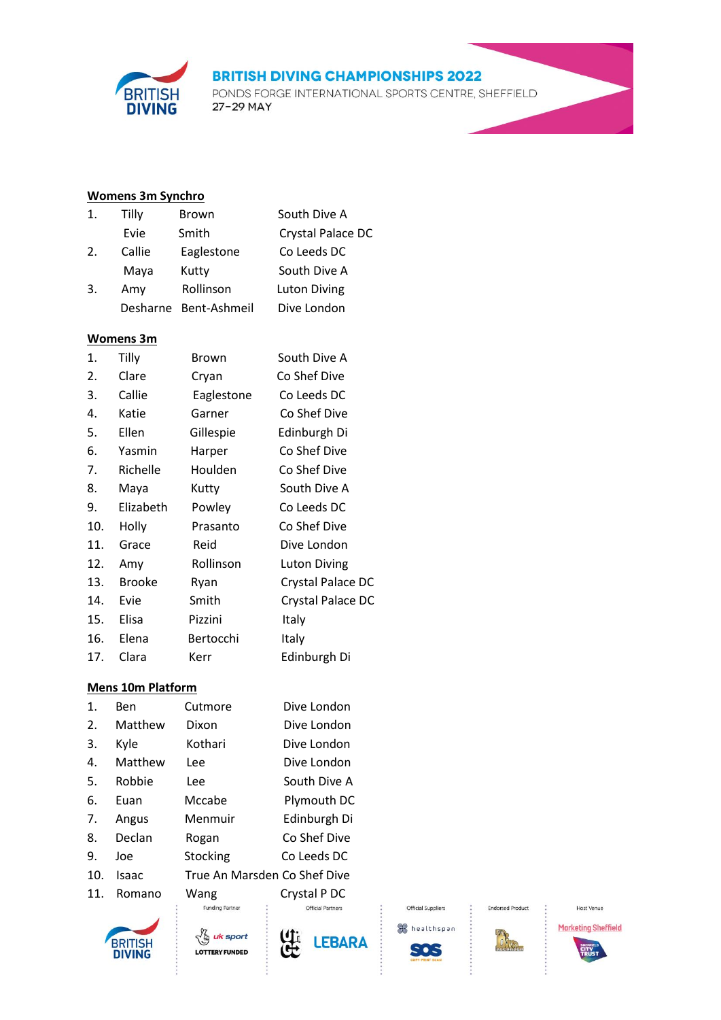PONDS FORGE INTERNATIONAL SPORTS CENTRE, SHEFFIELD 27-29 MAY

# **Womens 3m Synchro**

**BRITISH**<br>**DIVING** 

| 1. | Tilly  | <b>Brown</b>          | South Dive A        |
|----|--------|-----------------------|---------------------|
|    | Evie   | Smith                 | Crystal Palace DC   |
| 2. | Callie | Eaglestone            | Co Leeds DC         |
|    | Maya   | Kutty                 | South Dive A        |
| 3. | Amy    | Rollinson             | <b>Luton Diving</b> |
|    |        | Desharne Bent-Ashmeil | Dive London         |
|    |        |                       |                     |

#### **Womens 3m**

| 1.  | Tilly         | Brown      | South Dive A        |
|-----|---------------|------------|---------------------|
| 2.  | Clare         | Cryan      | Co Shef Dive        |
| 3.  | Callie        | Eaglestone | Co Leeds DC         |
| 4.  | Katie         | Garner     | Co Shef Dive        |
| 5.  | Ellen         | Gillespie  | Edinburgh Di        |
| 6.  | Yasmin        | Harper     | Co Shef Dive        |
| 7.  | Richelle      | Houlden    | Co Shef Dive        |
| 8.  | Maya          | Kutty      | South Dive A        |
| 9.  | Elizabeth     | Powley     | Co Leeds DC         |
| 10. | Holly         | Prasanto   | Co Shef Dive        |
| 11. | Grace         | Reid       | Dive London         |
| 12. | Amy           | Rollinson  | <b>Luton Diving</b> |
| 13. | <b>Brooke</b> | Ryan       | Crystal Palace DC   |
| 14. | Evie          | Smith      | Crystal Palace DC   |
| 15. | Elisa         | Pizzini    | Italy               |
| 16. | Elena         | Bertocchi  | Italy               |
| 17. | Clara         | Kerr       | Edinburgh Di        |

#### **Mens 10m Platform**

| 1.  | Ben     | Cutmore                      | Dive London              |
|-----|---------|------------------------------|--------------------------|
| 2.  | Matthew | Dixon                        | Dive London              |
| 3.  | Kyle    | Kothari                      | Dive London              |
| 4.  | Matthew | Lee                          | Dive London              |
| 5.  | Robbie  | Lee                          | South Dive A             |
| 6.  | Euan    | Mccabe                       | Plymouth DC              |
| 7.  | Angus   | Menmuir                      | Edinburgh Di             |
| 8.  | Declan  | Rogan                        | Co Shef Dive             |
| 9.  | Joe     | Stocking                     | Co Leeds DC              |
| 10. | Isaac   | True An Marsden Co Shef Dive |                          |
| 11. | Romano  | Wang                         | Crystal P DC             |
|     |         | <b>Funding Partner</b>       | <b>Official Partners</b> |









Official Suppliers

**Endorsed Product**  $\sim$ 

**The Contract** 





**Marketing Sheffield**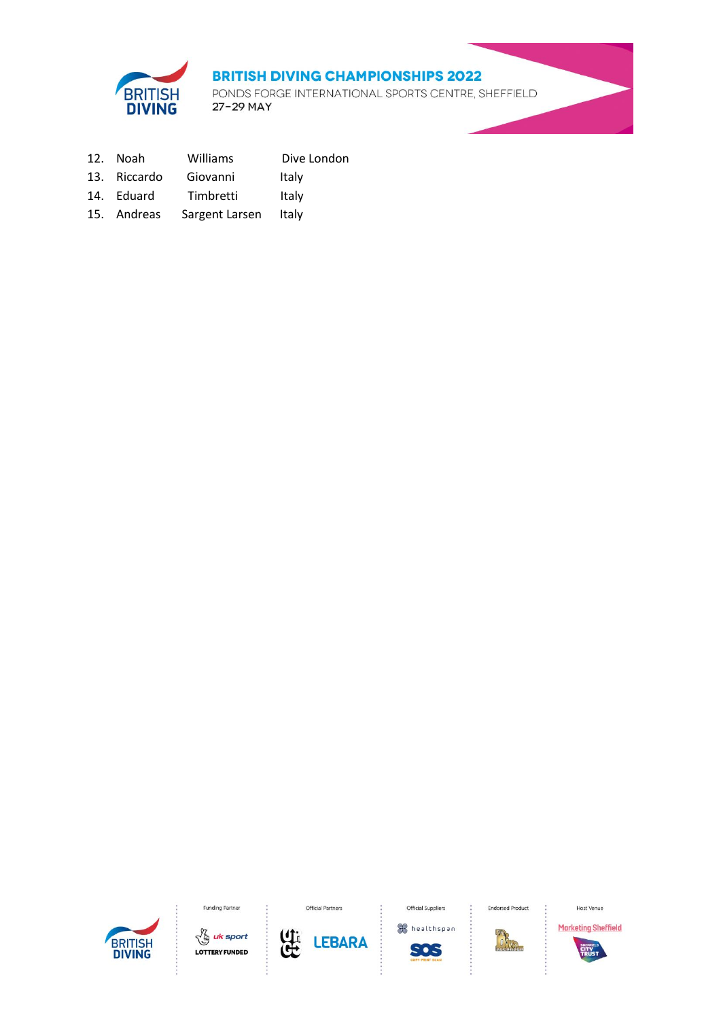

PONDS FORGE INTERNATIONAL SPORTS CENTRE, SHEFFIELD 27-29 MAY

- 12. Noah Williams Dive London
- 13. Riccardo Giovanni Italy
- 14. Eduard Timbretti Italy
- 15. Andreas Sargent Larsen Italy



Funding Partner





Official Partners



Official Suppliers

**Endorsed Product** 



BRA

Host Venue

**Marketing Sheffield**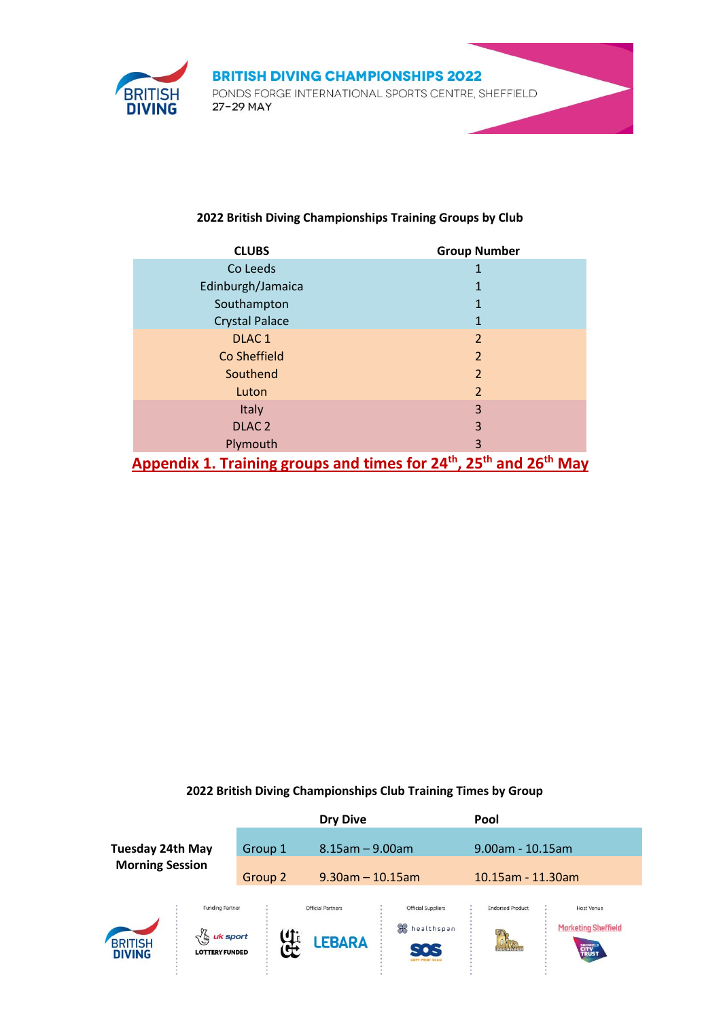

#### **2022 British Diving Championships Training Groups by Club**

| <b>CLUBS</b>                                                                                           | <b>Group Number</b> |
|--------------------------------------------------------------------------------------------------------|---------------------|
| Co Leeds                                                                                               |                     |
| Edinburgh/Jamaica                                                                                      | 1                   |
| Southampton                                                                                            | 1                   |
| <b>Crystal Palace</b>                                                                                  | 1                   |
| DLAC <sub>1</sub>                                                                                      | $\overline{2}$      |
| Co Sheffield                                                                                           | $\overline{2}$      |
| Southend                                                                                               | $\overline{2}$      |
| Luton                                                                                                  | $\overline{2}$      |
| Italy                                                                                                  | 3                   |
| DLAC <sub>2</sub>                                                                                      | 3                   |
| Plymouth                                                                                               | 3                   |
| Appendix 1. Training groups and times for 24 <sup>th</sup> , 25 <sup>th</sup> and 26 <sup>th</sup> May |                     |

### **2022 British Diving Championships Club Training Times by Group**

|                                                   |                                                                           |         | <b>Dry Dive</b>                           |                                                                          | Pool                    |                                                                         |
|---------------------------------------------------|---------------------------------------------------------------------------|---------|-------------------------------------------|--------------------------------------------------------------------------|-------------------------|-------------------------------------------------------------------------|
| <b>Tuesday 24th May</b><br><b>Morning Session</b> |                                                                           | Group 1 | $8.15$ am $- 9.00$ am                     |                                                                          | $9.00$ am - 10.15am     |                                                                         |
|                                                   |                                                                           | Group 2 | $9.30$ am - 10.15am                       |                                                                          | 10.15am - 11.30am       |                                                                         |
| BRITISH<br><b>DIVING</b>                          | <b>Funding Partner</b><br>uk sport<br>$\sqrt{9}$<br><b>LOTTERY FUNDED</b> | 4       | <b>Official Partners</b><br><b>LEBARA</b> | <b>Official Suppliers</b><br>黑<br>healthspan<br>- • -<br>CORY PRINT SCAN | <b>Endorsed Product</b> | <b>Host Venue</b><br><b>Marketing Sheffield</b><br><b>CITY</b><br>TRUST |